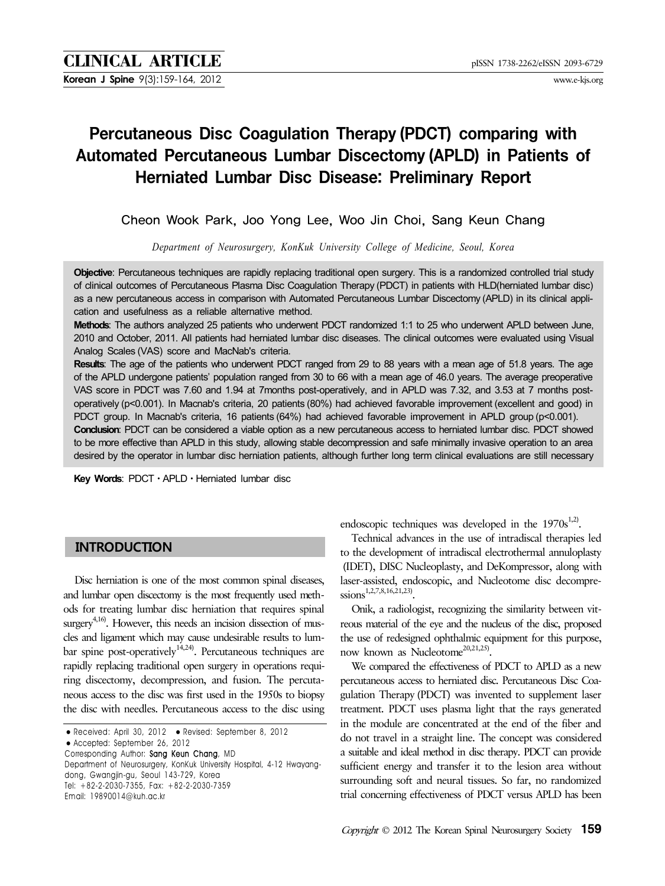**Korean J Spine** 9(3):159-164, 2012 www.e-kjs.org

# Percutaneous Disc Coagulation Therapy (PDCT) comparing with Automated Percutaneous Lumbar Discectomy (APLD) in Patients of Herniated Lumbar Disc Disease: Preliminary Report

Cheon Wook Park, Joo Yong Lee, Woo Jin Choi, Sang Keun Chang

*Department of Neurosurgery, KonKuk University College of Medicine, Seoul, Korea*

**Objective**: Percutaneous techniques are rapidly replacing traditional open surgery. This is a randomized controlled trial study of clinical outcomes of Percutaneous Plasma Disc Coagulation Therapy (PDCT) in patients with HLD(herniated lumbar disc) as a new percutaneous access in comparison with Automated Percutaneous Lumbar Discectomy (APLD) in its clinical application and usefulness as a reliable alternative method.

**Methods**: The authors analyzed 25 patients who underwent PDCT randomized 1:1 to 25 who underwent APLD between June, 2010 and October, 2011. All patients had herniated lumbar disc diseases. The clinical outcomes were evaluated using Visual Analog Scales (VAS) score and MacNab's criteria.

**Results**: The age of the patients who underwent PDCT ranged from 29 to 88 years with a mean age of 51.8 years. The age of the APLD undergone patients' population ranged from 30 to 66 with a mean age of 46.0 years. The average preoperative VAS score in PDCT was 7.60 and 1.94 at 7months post-operatively, and in APLD was 7.32, and 3.53 at 7 months postoperatively (p<0.001). In Macnab's criteria, 20 patients (80%) had achieved favorable improvement (excellent and good) in PDCT group. In Macnab's criteria, 16 patients (64%) had achieved favorable improvement in APLD group (p<0.001). **Conclusion**: PDCT can be considered a viable option as a new percutaneous access to herniated lumbar disc. PDCT showed to be more effective than APLD in this study, allowing stable decompression and safe minimally invasive operation to an area desired by the operator in lumbar disc herniation patients, although further long term clinical evaluations are still necessary

**Key Words**: PDCTㆍAPLDㆍHerniated lumbar disc

# **INTRODUCTION**

Disc herniation is one of the most common spinal diseases, and lumbar open discectomy is the most frequently used methods for treating lumbar disc herniation that requires spinal surgery $4,16$ . However, this needs an incision dissection of muscles and ligament which may cause undesirable results to lumbar spine post-operatively<sup>14,24)</sup>. Percutaneous techniques are rapidly replacing traditional open surgery in operations requiring discectomy, decompression, and fusion. The percutaneous access to the disc was first used in the 1950s to biopsy the disc with needles. Percutaneous access to the disc using

● Accepted: September 26, 2012

Department of Neurosurgery, KonKuk University Hospital, 4-12 Hwayangdong, Gwangjin-gu, Seoul 143-729, Korea Tel: +82-2-2030-7355, Fax: +82-2-2030-7359

Email: 19890014@kuh.ac.kr

endoscopic techniques was developed in the  $1970s^{1,2}$ .

Technical advances in the use of intradiscal therapies led to the development of intradiscal electrothermal annuloplasty (IDET), DISC Nucleoplasty, and DeKompressor, along with laser-assisted, endoscopic, and Nucleotome disc decompre $ssions^{1,2,7,8,16,21,23}$ .

Onik, a radiologist, recognizing the similarity between vitreous material of the eye and the nucleus of the disc, proposed the use of redesigned ophthalmic equipment for this purpose, now known as Nucleotome<sup>20,21,25</sup>

We compared the effectiveness of PDCT to APLD as a new percutaneous access to herniated disc. Percutaneous Disc Coagulation Therapy (PDCT) was invented to supplement laser treatment. PDCT uses plasma light that the rays generated in the module are concentrated at the end of the fiber and do not travel in a straight line. The concept was considered a suitable and ideal method in disc therapy. PDCT can provide sufficient energy and transfer it to the lesion area without surrounding soft and neural tissues. So far, no randomized trial concerning effectiveness of PDCT versus APLD has been

<sup>●</sup> Received: April 30, 2012 ● Revised: September 8, 2012

Corresponding Author: Sang Keun Chang, MD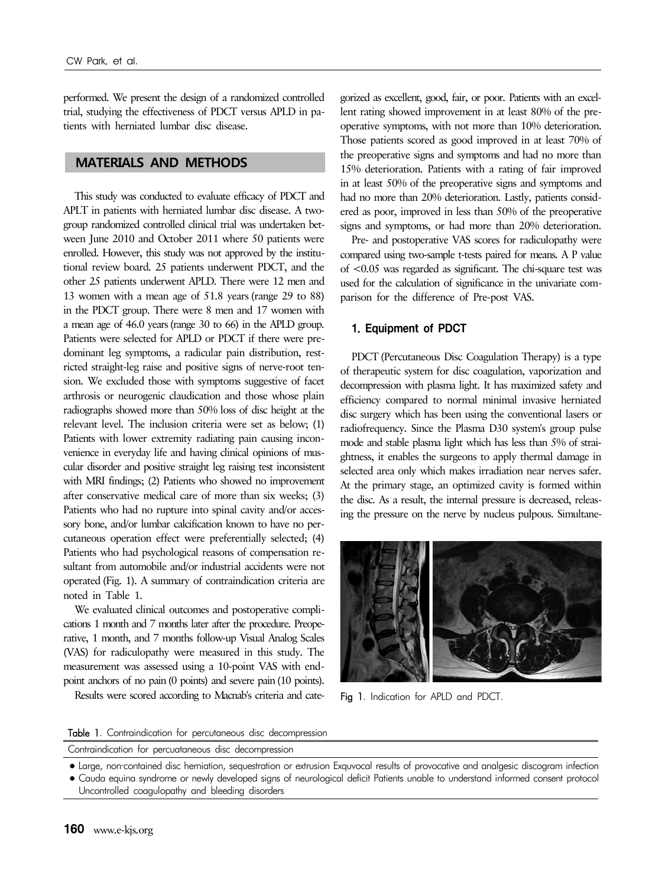performed. We present the design of a randomized controlled trial, studying the effectiveness of PDCT versus APLD in patients with herniated lumbar disc disease.

# **MATERIALS AND METHODS**

This study was conducted to evaluate efficacy of PDCT and APLT in patients with herniated lumbar disc disease. A twogroup randomized controlled clinical trial was undertaken between June 2010 and October 2011 where 50 patients were enrolled. However, this study was not approved by the institutional review board. 25 patients underwent PDCT, and the other 25 patients underwent APLD. There were 12 men and 13 women with a mean age of 51.8 years (range 29 to 88) in the PDCT group. There were 8 men and 17 women with a mean age of 46.0 years (range 30 to 66) in the APLD group. Patients were selected for APLD or PDCT if there were predominant leg symptoms, a radicular pain distribution, restricted straight-leg raise and positive signs of nerve-root tension. We excluded those with symptoms suggestive of facet arthrosis or neurogenic claudication and those whose plain radiographs showed more than 50% loss of disc height at the relevant level. The inclusion criteria were set as below; (1) Patients with lower extremity radiating pain causing inconvenience in everyday life and having clinical opinions of muscular disorder and positive straight leg raising test inconsistent with MRI findings; (2) Patients who showed no improvement after conservative medical care of more than six weeks; (3) Patients who had no rupture into spinal cavity and/or accessory bone, and/or lumbar calcification known to have no percutaneous operation effect were preferentially selected; (4) Patients who had psychological reasons of compensation resultant from automobile and/or industrial accidents were not operated (Fig. 1). A summary of contraindication criteria are noted in Table 1.

We evaluated clinical outcomes and postoperative complications 1 month and 7 months later after the procedure. Preoperative, 1 month, and 7 months follow-up Visual Analog Scales (VAS) for radiculopathy were measured in this study. The measurement was assessed using a 10-point VAS with endpoint anchors of no pain (0 points) and severe pain(10 points).

Results were scored according to Macnab's criteria and cate-

gorized as excellent, good, fair, or poor. Patients with an excellent rating showed improvement in at least 80% of the preoperative symptoms, with not more than 10% deterioration. Those patients scored as good improved in at least 70% of the preoperative signs and symptoms and had no more than 15% deterioration. Patients with a rating of fair improved in at least 50% of the preoperative signs and symptoms and had no more than 20% deterioration. Lastly, patients considered as poor, improved in less than 50% of the preoperative signs and symptoms, or had more than 20% deterioration.

Pre- and postoperative VAS scores for radiculopathy were compared using two-sample t-tests paired for means. A P value of <0.05 was regarded as significant. The chi-square test was used for the calculation of significance in the univariate comparison for the difference of Pre-post VAS.

#### 1. Equipment of PDCT

PDCT (Percutaneous Disc Coagulation Therapy) is a type of therapeutic system for disc coagulation, vaporization and decompression with plasma light. It has maximized safety and efficiency compared to normal minimal invasive herniated disc surgery which has been using the conventional lasers or radiofrequency. Since the Plasma D30 system's group pulse mode and stable plasma light which has less than 5% of straightness, it enables the surgeons to apply thermal damage in selected area only which makes irradiation near nerves safer. At the primary stage, an optimized cavity is formed within the disc. As a result, the internal pressure is decreased, releasing the pressure on the nerve by nucleus pulpous. Simultane-



Fig 1. Indication for APLD and PDCT.

Table 1. Contraindication for percutaneous disc decompression

Contraindication for percuataneous disc decompression

●Large, non‐contained disc herniation, sequestration or extrusion Exquvocal results of provocative and analgesic discogram infection ●Cauda equina syndrome or newly developed signs of neurological deficit Patients unable to understand informed consent protocol Uncontrolled coagulopathy and bleeding disorders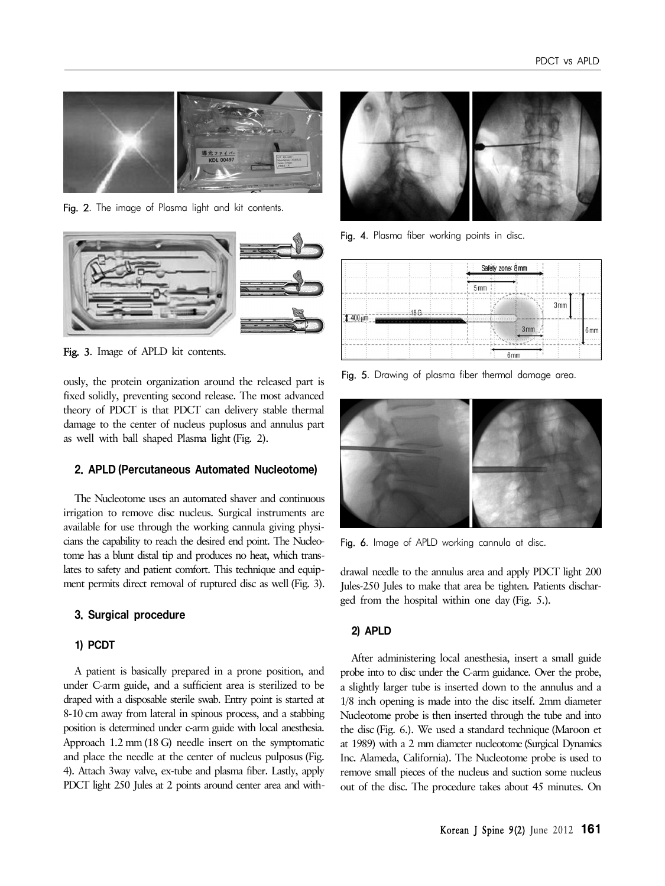

Fig. 2. The image of Plasma light and kit contents.



Fig. 3. Image of APLD kit contents.

ously, the protein organization around the released part is fixed solidly, preventing second release. The most advanced theory of PDCT is that PDCT can delivery stable thermal damage to the center of nucleus puplosus and annulus part as well with ball shaped Plasma light (Fig. 2).

## 2. APLD (Percutaneous Automated Nucleotome)

The Nucleotome uses an automated shaver and continuous irrigation to remove disc nucleus. Surgical instruments are available for use through the working cannula giving physicians the capability to reach the desired end point. The Nucleotome has a blunt distal tip and produces no heat, which translates to safety and patient comfort. This technique and equipment permits direct removal of ruptured disc as well (Fig. 3).

#### 3. Surgical procedure

#### 1) PCDT

A patient is basically prepared in a prone position, and under C-arm guide, and a sufficient area is sterilized to be draped with a disposable sterile swab. Entry point is started at 8-10 cm away from lateral in spinous process, and a stabbing position is determined under c-arm guide with local anesthesia. Approach 1.2 mm (18 G) needle insert on the symptomatic and place the needle at the center of nucleus pulposus (Fig. 4). Attach 3way valve, ex-tube and plasma fiber. Lastly, apply PDCT light 250 Jules at 2 points around center area and with-



Fig. 4. Plasma fiber working points in disc.



Fig. 5. Drawing of plasma fiber thermal damage area.



Fig. 6. Image of APLD working cannula at disc.

drawal needle to the annulus area and apply PDCT light 200 Jules-250 Jules to make that area be tighten. Patients discharged from the hospital within one day (Fig. 5.).

### 2) APLD

After administering local anesthesia, insert a small guide probe into to disc under the C-arm guidance. Over the probe, a slightly larger tube is inserted down to the annulus and a 1/8 inch opening is made into the disc itself. 2mm diameter Nucleotome probe is then inserted through the tube and into the disc (Fig. 6.). We used a standard technique (Maroon et at 1989) with a 2 mm diameter nucleotome (Surgical Dynamics Inc. Alameda, California). The Nucleotome probe is used to remove small pieces of the nucleus and suction some nucleus out of the disc. The procedure takes about 45 minutes. On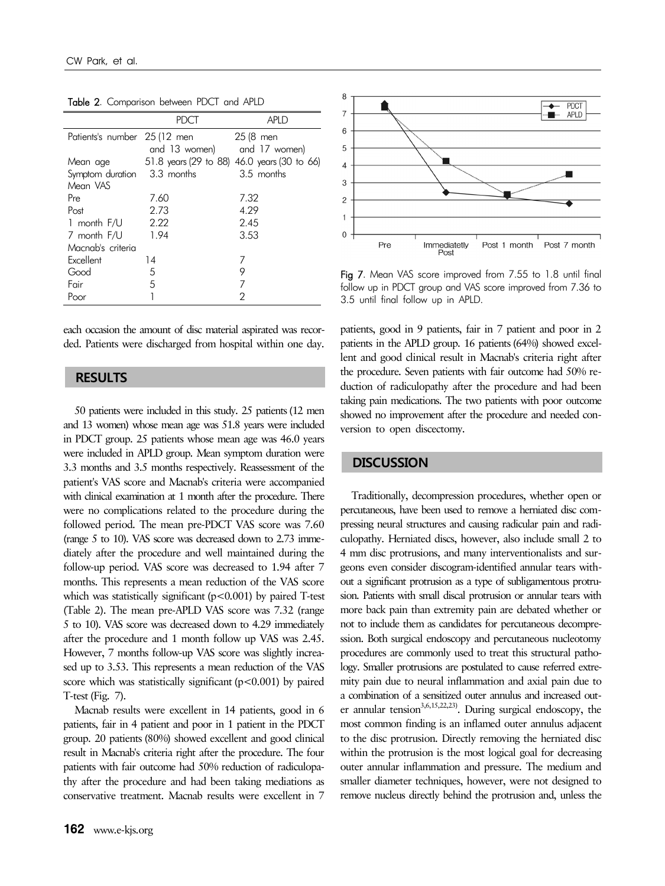|                              | <b>PDCT</b>                 | <b>APLD</b>                                 |
|------------------------------|-----------------------------|---------------------------------------------|
| Patients's number 25 (12 men |                             | 25 (8 men                                   |
|                              | and 13 women) and 17 women) |                                             |
| Mean age                     |                             | 51.8 years (29 to 88) 46.0 years (30 to 66) |
| Symptom duration 3.3 months  |                             | 3.5 months                                  |
| Mean VAS                     |                             |                                             |
| Pre                          | 7.60                        | 7.32                                        |
| Post                         | 2.73                        | 4.29                                        |
| 1 month F/U                  | 2.22                        | 2.45                                        |
| 7 month F/U                  | 1.94                        | 3.53                                        |
| Macnab's criteria            |                             |                                             |
| Excellent                    | 14                          |                                             |
| Good                         | 5                           | 9                                           |
| Fair                         | 5                           | 7                                           |
| Poor                         |                             | 2                                           |

Table 2. Comparison between PDCT and APLD

each occasion the amount of disc material aspirated was recorded. Patients were discharged from hospital within one day.

# **RESULTS**

50 patients were included in this study. 25 patients (12 men and 13 women) whose mean age was 51.8 years were included in PDCT group. 25 patients whose mean age was 46.0 years were included in APLD group. Mean symptom duration were 3.3 months and 3.5 months respectively. Reassessment of the patient's VAS score and Macnab's criteria were accompanied with clinical examination at 1 month after the procedure. There were no complications related to the procedure during the followed period. The mean pre-PDCT VAS score was 7.60 (range 5 to 10). VAS score was decreased down to 2.73 immediately after the procedure and well maintained during the follow-up period. VAS score was decreased to 1.94 after 7 months. This represents a mean reduction of the VAS score which was statistically significant  $(p<0.001)$  by paired T-test (Table 2). The mean pre-APLD VAS score was 7.32 (range 5 to 10). VAS score was decreased down to 4.29 immediately after the procedure and 1 month follow up VAS was 2.45. However, 7 months follow-up VAS score was slightly increased up to 3.53. This represents a mean reduction of the VAS score which was statistically significant  $(p<0.001)$  by paired T-test (Fig. 7).

Macnab results were excellent in 14 patients, good in 6 patients, fair in 4 patient and poor in 1 patient in the PDCT group. 20 patients (80%) showed excellent and good clinical result in Macnab's criteria right after the procedure. The four patients with fair outcome had 50% reduction of radiculopathy after the procedure and had been taking mediations as conservative treatment. Macnab results were excellent in 7



Fig 7. Mean VAS score improved from 7.55 to 1.8 until final follow up in PDCT group and VAS score improved from 7.36 to 3.5 until final follow up in APLD.

patients, good in 9 patients, fair in 7 patient and poor in 2 patients in the APLD group. 16 patients (64%) showed excellent and good clinical result in Macnab's criteria right after the procedure. Seven patients with fair outcome had 50% reduction of radiculopathy after the procedure and had been taking pain medications. The two patients with poor outcome showed no improvement after the procedure and needed conversion to open discectomy.

## **DISCUSSION**

Traditionally, decompression procedures, whether open or percutaneous, have been used to remove a herniated disc compressing neural structures and causing radicular pain and radiculopathy. Herniated discs, however, also include small 2 to 4 mm disc protrusions, and many interventionalists and surgeons even consider discogram-identified annular tears without a significant protrusion as a type of subligamentous protrusion. Patients with small discal protrusion or annular tears with more back pain than extremity pain are debated whether or not to include them as candidates for percutaneous decompression. Both surgical endoscopy and percutaneous nucleotomy procedures are commonly used to treat this structural pathology. Smaller protrusions are postulated to cause referred extremity pain due to neural inflammation and axial pain due to a combination of a sensitized outer annulus and increased outer annular tension<sup>3,6,15,22,23)</sup>. During surgical endoscopy, the most common finding is an inflamed outer annulus adjacent to the disc protrusion. Directly removing the herniated disc within the protrusion is the most logical goal for decreasing outer annular inflammation and pressure. The medium and smaller diameter techniques, however, were not designed to remove nucleus directly behind the protrusion and, unless the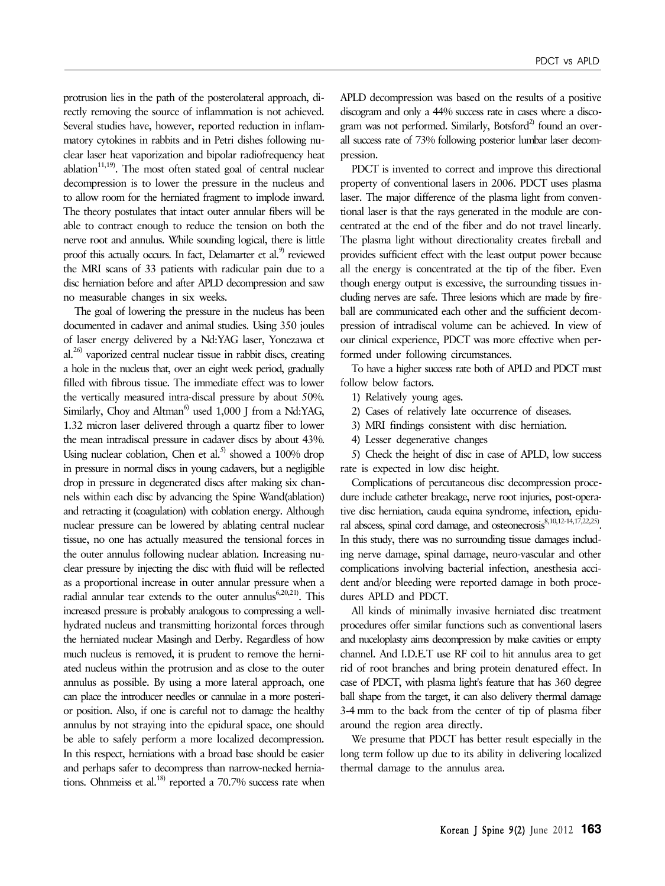protrusion lies in the path of the posterolateral approach, directly removing the source of inflammation is not achieved. Several studies have, however, reported reduction in inflammatory cytokines in rabbits and in Petri dishes following nuclear laser heat vaporization and bipolar radiofrequency heat ablation<sup>11,19</sup>. The most often stated goal of central nuclear decompression is to lower the pressure in the nucleus and to allow room for the herniated fragment to implode inward. The theory postulates that intact outer annular fibers will be able to contract enough to reduce the tension on both the nerve root and annulus. While sounding logical, there is little proof this actually occurs. In fact, Delamarter et al.<sup>9)</sup> reviewed the MRI scans of 33 patients with radicular pain due to a disc herniation before and after APLD decompression and saw no measurable changes in six weeks.

The goal of lowering the pressure in the nucleus has been documented in cadaver and animal studies. Using 350 joules of laser energy delivered by a Nd:YAG laser, Yonezawa et al. $^{26)}$  vaporized central nuclear tissue in rabbit discs, creating a hole in the nucleus that, over an eight week period, gradually filled with fibrous tissue. The immediate effect was to lower the vertically measured intra-discal pressure by about 50%. Similarly, Choy and Altman<sup>6)</sup> used 1,000 J from a Nd:YAG, 1.32 micron laser delivered through a quartz fiber to lower the mean intradiscal pressure in cadaver discs by about 43%. Using nuclear coblation, Chen et al.<sup>5)</sup> showed a  $100\%$  drop in pressure in normal discs in young cadavers, but a negligible drop in pressure in degenerated discs after making six channels within each disc by advancing the Spine Wand(ablation) and retracting it (coagulation) with coblation energy. Although nuclear pressure can be lowered by ablating central nuclear tissue, no one has actually measured the tensional forces in the outer annulus following nuclear ablation. Increasing nuclear pressure by injecting the disc with fluid will be reflected as a proportional increase in outer annular pressure when a radial annular tear extends to the outer annulus<sup>6,20,21</sup>). This increased pressure is probably analogous to compressing a wellhydrated nucleus and transmitting horizontal forces through the herniated nuclear Masingh and Derby. Regardless of how much nucleus is removed, it is prudent to remove the herniated nucleus within the protrusion and as close to the outer annulus as possible. By using a more lateral approach, one can place the introducer needles or cannulae in a more posterior position. Also, if one is careful not to damage the healthy annulus by not straying into the epidural space, one should be able to safely perform a more localized decompression. In this respect, herniations with a broad base should be easier and perhaps safer to decompress than narrow-necked herniations. Ohnmeiss et al.<sup>18)</sup> reported a  $70.7\%$  success rate when APLD decompression was based on the results of a positive discogram and only a 44% success rate in cases where a discogram was not performed. Similarly, Botsford $^{2)}$  found an overall success rate of 73% following posterior lumbar laser decompression.

PDCT is invented to correct and improve this directional property of conventional lasers in 2006. PDCT uses plasma laser. The major difference of the plasma light from conventional laser is that the rays generated in the module are concentrated at the end of the fiber and do not travel linearly. The plasma light without directionality creates fireball and provides sufficient effect with the least output power because all the energy is concentrated at the tip of the fiber. Even though energy output is excessive, the surrounding tissues including nerves are safe. Three lesions which are made by fireball are communicated each other and the sufficient decompression of intradiscal volume can be achieved. In view of our clinical experience, PDCT was more effective when performed under following circumstances.

To have a higher success rate both of APLD and PDCT must follow below factors.

1) Relatively young ages.

2) Cases of relatively late occurrence of diseases.

3) MRI findings consistent with disc herniation.

4) Lesser degenerative changes

5) Check the height of disc in case of APLD, low success rate is expected in low disc height.

Complications of percutaneous disc decompression procedure include catheter breakage, nerve root injuries, post-operative disc herniation, cauda equina syndrome, infection, epidural abscess, spinal cord damage, and osteonecrosis<sup>8,10,12-14,17,22,25</sup>. In this study, there was no surrounding tissue damages including nerve damage, spinal damage, neuro-vascular and other complications involving bacterial infection, anesthesia accident and/or bleeding were reported damage in both procedures APLD and PDCT.

All kinds of minimally invasive herniated disc treatment procedures offer similar functions such as conventional lasers and nuceloplasty aims decompression by make cavities or empty channel. And I.D.E.T use RF coil to hit annulus area to get rid of root branches and bring protein denatured effect. In case of PDCT, with plasma light's feature that has 360 degree ball shape from the target, it can also delivery thermal damage 3-4 mm to the back from the center of tip of plasma fiber around the region area directly.

We presume that PDCT has better result especially in the long term follow up due to its ability in delivering localized thermal damage to the annulus area.